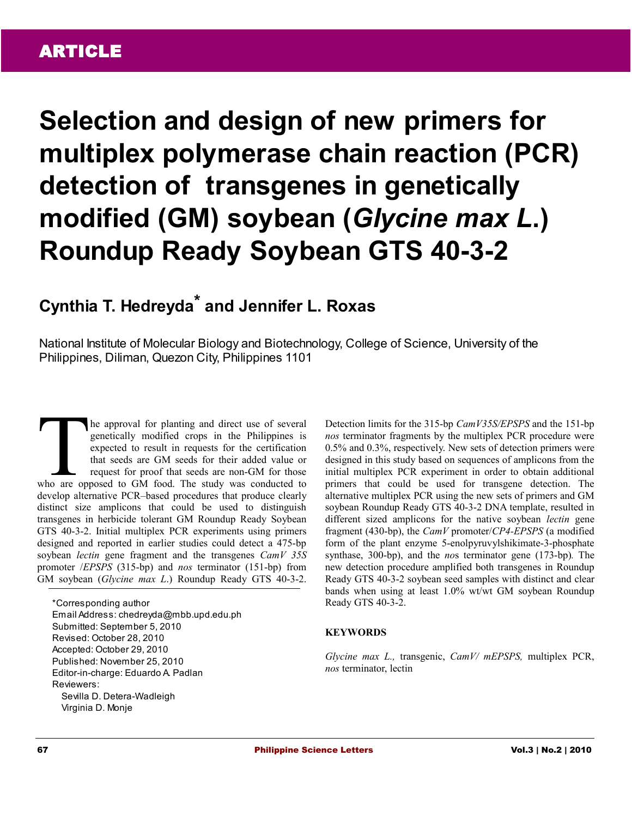**Selection and design of new primers for multiplex polymerase chain reaction (PCR) detection of transgenes in genetically modified (GM) soybean (***Glycine max L***.) Roundup Ready Soybean GTS 40-3-2** 

# **Cynthia T. Hedreyda\* and Jennifer L. Roxas**

National Institute of Molecular Biology and Biotechnology, College of Science, University of the Philippines, Diliman, Quezon City, Philippines 1101

he approval for planting and direct use of several genetically modified crops in the Philippines is expected to result in requests for the certification that seeds are GM seeds for their added value or request for proof that seeds are non-GM for those The approval for planting and direct use of several genetically modified crops in the Philippines is expected to result in requests for the certification that seeds are GM seeds for their added value or request for proof t develop alternative PCR–based procedures that produce clearly distinct size amplicons that could be used to distinguish transgenes in herbicide tolerant GM Roundup Ready Soybean GTS 40-3-2. Initial multiplex PCR experiments using primers designed and reported in earlier studies could detect a 475-bp soybean *lectin* gene fragment and the transgenes *CamV 35S* promoter /*EPSPS* (315-bp) and *nos* terminator (151-bp) from GM soybean (*Glycine max L*.) Roundup Ready GTS 40-3-2.

\*Corresponding author Email Address: chedreyda@mbb.upd.edu.ph Submitted: September 5, 2010 Revised: October 28, 2010 Accepted: October 29, 2010 Published: November 25, 2010 Editor-in-charge: Eduardo A. Padlan Reviewers: Sevilla D. Detera-Wadleigh Virginia D. Monje

Detection limits for the 315-bp *CamV35S/EPSPS* and the 151-bp *nos* terminator fragments by the multiplex PCR procedure were 0.5% and 0.3%, respectively. New sets of detection primers were designed in this study based on sequences of amplicons from the initial multiplex PCR experiment in order to obtain additional primers that could be used for transgene detection. The alternative multiplex PCR using the new sets of primers and GM soybean Roundup Ready GTS 40-3-2 DNA template, resulted in different sized amplicons for the native soybean *lectin* gene fragment (430-bp), the *CamV* promoter/*CP4-EPSPS* (a modified form of the plant enzyme 5-enolpyruvylshikimate-3-phosphate synthase, 300-bp), and the *no*s terminator gene (173-bp)*.* The new detection procedure amplified both transgenes in Roundup Ready GTS 40-3-2 soybean seed samples with distinct and clear bands when using at least 1.0% wt/wt GM soybean Roundup Ready GTS 40-3-2.

# **KEYWORDS**

*Glycine max L.,* transgenic, *CamV/ mEPSPS,* multiplex PCR, *nos* terminator, lectin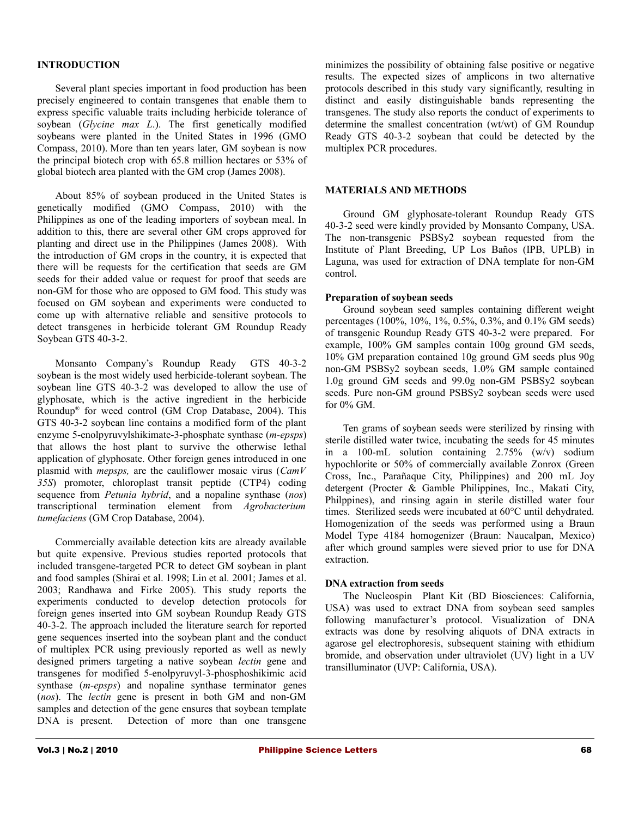## **INTRODUCTION**

Several plant species important in food production has been precisely engineered to contain transgenes that enable them to express specific valuable traits including herbicide tolerance of soybean (*Glycine max L*.). The first [genetically modified](http://www.gmo-compass.org/eng/glossary/115.genetically_modified_organism_gmo.html) soybeans were planted in the United States in 1996 (GMO Compass, 2010). More than ten years later, GM soybean is now the principal biotech crop with 65.8 million hectares or 53% of global biotech area planted with the GM crop (James 2008).

About 85% of soybean produced in the United States is genetically modified (GMO Compass, 2010) with the Philippines as one of the leading importers of soybean meal. In addition to this, there are several other GM crops approved for planting and direct use in the Philippines (James 2008). With the introduction of GM crops in the country, it is expected that there will be requests for the certification that seeds are GM seeds for their added value or request for proof that seeds are non-GM for those who are opposed to GM food. This study was focused on GM soybean and experiments were conducted to come up with alternative reliable and sensitive protocols to detect transgenes in herbicide tolerant GM Roundup Ready Soybean GTS 40-3-2.

Monsanto Company's Roundup Ready GTS 40-3-2 soybean is the most widely used herbicide-tolerant soybean. The soybean line GTS 40-3-2 was developed to allow the use of glyphosate, which is the active ingredient in the herbicide Roundup® for weed control [\(GM Crop Database, 2004\)](http://www.agbios.com/). This GTS 40-3-2 soybean line contains a modified form of the plant enzyme 5-enolpyruvylshikimate-3-phosphate synthase (*m-epsps*) that allows the host plant to survive the otherwise lethal application of glyphosate. Other foreign genes introduced in one plasmid with *mepsps,* are the cauliflower mosaic virus (*CamV 35S*) promoter, chloroplast transit peptide (CTP4) coding sequence from *Petunia hybrid*, and a nopaline synthase (*nos*) transcriptional termination element from *Agrobacterium tumefaciens* [\(GM Crop Database, 2004\)](http://www.agbios.com/).

Commercially available detection kits are already available but quite expensive. Previous studies reported protocols that included transgene-targeted PCR to detect GM soybean in plant and food samples (Shirai et al. 1998; Lin et al*.* 2001; James et al. 2003; Randhawa and Firke 2005). This study reports the experiments conducted to develop detection protocols for foreign genes inserted into GM soybean Roundup Ready GTS 40-3-2. The approach included the literature search for reported gene sequences inserted into the soybean plant and the conduct of multiplex PCR using previously reported as well as newly designed primers targeting a native soybean *lectin* gene and transgenes for modified 5-enolpyruvyl-3-phosphoshikimic acid synthase (*m-epsps*) and nopaline synthase terminator genes (*nos*). The *lectin* gene is present in both GM and non-GM samples and detection of the gene ensures that soybean template DNA is present. Detection of more than one transgene

minimizes the possibility of obtaining false positive or negative results. The expected sizes of amplicons in two alternative protocols described in this study vary significantly, resulting in distinct and easily distinguishable bands representing the transgenes. The study also reports the conduct of experiments to determine the smallest concentration (wt/wt) of GM Roundup Ready GTS 40-3-2 soybean that could be detected by the multiplex PCR procedures.

#### **MATERIALS AND METHODS**

Ground GM glyphosate-tolerant Roundup Ready GTS 40-3-2 seed were kindly provided by Monsanto Company, USA. The non-transgenic PSBSy2 soybean requested from the Institute of Plant Breeding, UP Los Baños (IPB, UPLB) in Laguna, was used for extraction of DNA template for non-GM control.

#### **Preparation of soybean seeds**

Ground soybean seed samples containing different weight percentages (100%, 10%, 1%, 0.5%, 0.3%, and 0.1% GM seeds) of transgenic Roundup Ready GTS 40-3-2 were prepared. For example, 100% GM samples contain 100g ground GM seeds, 10% GM preparation contained 10g ground GM seeds plus 90g non-GM PSBSy2 soybean seeds, 1.0% GM sample contained 1.0g ground GM seeds and 99.0g non-GM PSBSy2 soybean seeds. Pure non-GM ground PSBSy2 soybean seeds were used for 0% GM.

Ten grams of soybean seeds were sterilized by rinsing with sterile distilled water twice, incubating the seeds for 45 minutes in a 100-mL solution containing 2.75% (w/v) sodium hypochlorite or 50% of commercially available Zonrox (Green Cross, Inc., Parañaque City, Philippines) and 200 mL Joy detergent (Procter & Gamble Philippines, Inc., Makati City, Philppines), and rinsing again in sterile distilled water four times. Sterilized seeds were incubated at 60°C until dehydrated. Homogenization of the seeds was performed using a Braun Model Type 4184 homogenizer (Braun: Naucalpan, Mexico) after which ground samples were sieved prior to use for DNA extraction.

#### **DNA extraction from seeds**

The Nucleospin Plant Kit (BD Biosciences: California, USA) was used to extract DNA from soybean seed samples following manufacturer's protocol. Visualization of DNA extracts was done by resolving aliquots of DNA extracts in agarose gel electrophoresis, subsequent staining with ethidium bromide, and observation under ultraviolet (UV) light in a UV transilluminator (UVP: California, USA).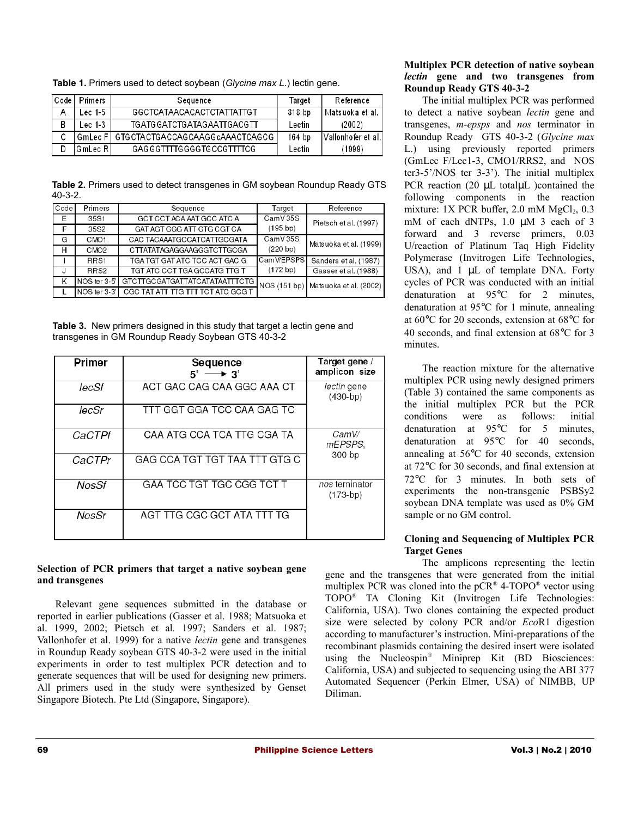**Table 1.** Primers used to detect soybean (*Glycine max L*.) lectin gene.

| $C$ ode | Primers  | Sequence                       | Target | Reference            |
|---------|----------|--------------------------------|--------|----------------------|
| A       | Lec 1-5  | GGCTCATAACACACTCTATTATTGT      | 818 bp | Matsuoka et al.      |
| B       | Lec 1-3  | TGATGGATCTGATAGAATTGACGTT      | Lectin | (2002)               |
| ◠<br>U  | GmLec Fl | GTGCTACTGACCAGCAAGGcAAACTCAGCG | 164 bp | l Vallonhofer et al. |
|         | GmLec RI | GAGGGTTTTGGGGTGCCGTTTTCG       | Lectin | (1999)               |

**Table 2.** Primers used to detect transgenes in GM soybean Roundup Ready GTS 40-3-2.

| Code | Primers          | Sequence                          | Target     | Reference                           |
|------|------------------|-----------------------------------|------------|-------------------------------------|
| E    | 35S1             | GCT CCT ACA AAT GCC ATC A         | CamV 35S   | Pietsch et al. (1997)               |
| F    | 35S2             | GAT AGT GGG ATT GTG CGT CA        | (195 b p)  |                                     |
| G    | CMO <sub>1</sub> | CAC TACAAATGCCATCATTGCGATA        | CamV 35S   | Matsuoka et al. (1999)              |
| н    | CMO <sub>2</sub> | CTTATATAGAGGAAGGGTCTTGCGA         | (220 bp)   |                                     |
|      | RRS1             | TGA TGT GAT ATC TCC ACT GAC G     | Cam WEPSPS | Sanders et al. (1987)               |
|      | RRS2             | TGT ATC CCT TGA GCCATG TTG T      | (172 bp)   | Gasser et al. (1988)                |
| ĸ    | NOS ter 3-5'     | GTCTTGCGATGATTATCATATAATTTCTG     |            | NOS (151 bp) Matsuoka et al. (2002) |
|      | NOS ter 3-3'     | CGC TAT ATT TTG TTT TCT ATC GCG T |            |                                     |

**Table 3.** New primers designed in this study that target a lectin gene and transgenes in GM Roundup Ready Soybean GTS 40-3-2

| Primer       | Sequence<br>$5' \rightarrow 3'$  | Target gene /<br>amplicon size     |  |
|--------------|----------------------------------|------------------------------------|--|
| lecSf        | ACT GAC CAG CAA GGC AAA CT       | <i>lectin</i> gene<br>$(430 - bp)$ |  |
| lecSr        | TTT GGT GGA TCC CAA GAG TC       |                                    |  |
| CaCTPf       | CAA ATG CCA TCA TTG CGA TA       | CamV/<br>mEPSPS.                   |  |
| CaCTPr       | GAG CCA TGT TGT TAA TTT GTG C    | 300 bp                             |  |
| <b>NosSf</b> | <b>GAA TCC TGT TGC CGG TCT T</b> | nos terninator<br>$(173-bp)$       |  |
| NosSr        | AGT TTG CGC GCT ATA TTT TG       |                                    |  |

## **Selection of PCR primers that target a native soybean gene and transgenes**

Relevant gene sequences submitted in the database or reported in earlier publications (Gasser et al. 1988; Matsuoka et al. 1999, 2002; Pietsch et al*.* 1997; Sanders et al. 1987; Vallonhofer et al. 1999) for a native *lectin* gene and transgenes in Roundup Ready soybean GTS 40-3-2 were used in the initial experiments in order to test multiplex PCR detection and to generate sequences that will be used for designing new primers. All primers used in the study were synthesized by Genset Singapore Biotech. Pte Ltd (Singapore, Singapore).

## **Multiplex PCR detection of native soybean** *lectin* **gene and two transgenes from Roundup Ready GTS 40-3-2**

The initial multiplex PCR was performed to detect a native soybean *lectin* gene and transgenes, *m-epsps* and *nos* terminator in Roundup Ready GTS 40-3-2 (*Glycine max* L.) using previously reported primers (GmLec F/Lec1-3, CMO1/RRS2, and NOS ter3-5'/NOS ter 3-3'). The initial multiplex PCR reaction (20 µL totaluL )contained the following components in the reaction mixture:  $1X$  PCR buffer,  $2.0$  mM  $MgCl<sub>2</sub>$ ,  $0.3$ mM of each dNTPs, 1.0  $\mu$ M 3 each of 3 forward and 3 reverse primers, 0.03 U/reaction of Platinum Taq High Fidelity Polymerase (Invitrogen Life Technologies, USA), and  $1 \mu L$  of template DNA. Forty cycles of PCR was conducted with an initial denaturation at 95°C for 2 minutes, denaturation at 95°C for 1 minute, annealing at 60°C for 20 seconds, extension at 68°C for 40 seconds, and final extension at 68°C for 3 minutes.

The reaction mixture for the alternative multiplex PCR using newly designed primers (Table 3) contained the same components as the initial multiplex PCR but the PCR conditions were as follows: initial denaturation at 95°C for 5 minutes, denaturation at 95°C for 40 seconds, annealing at 56°C for 40 seconds, extension at 72°C for 30 seconds, and final extension at 72°C for 3 minutes. In both sets of experiments the non-transgenic PSBSy2 soybean DNA template was used as 0% GM sample or no GM control.

# **Cloning and Sequencing of Multiplex PCR Target Genes**

The amplicons representing the lectin gene and the transgenes that were generated from the initial multiplex PCR was cloned into the pCR<sup>®</sup> 4-TOPO<sup>®</sup> vector using TOPO® TA Cloning Kit (Invitrogen Life Technologies: California, USA). Two clones containing the expected product size were selected by colony PCR and/or *Eco*R1 digestion according to manufacturer's instruction. Mini-preparations of the recombinant plasmids containing the desired insert were isolated using the Nucleospin® Miniprep Kit (BD Biosciences: California, USA) and subjected to sequencing using the ABI 377 Automated Sequencer (Perkin Elmer, USA) of NIMBB, UP Diliman.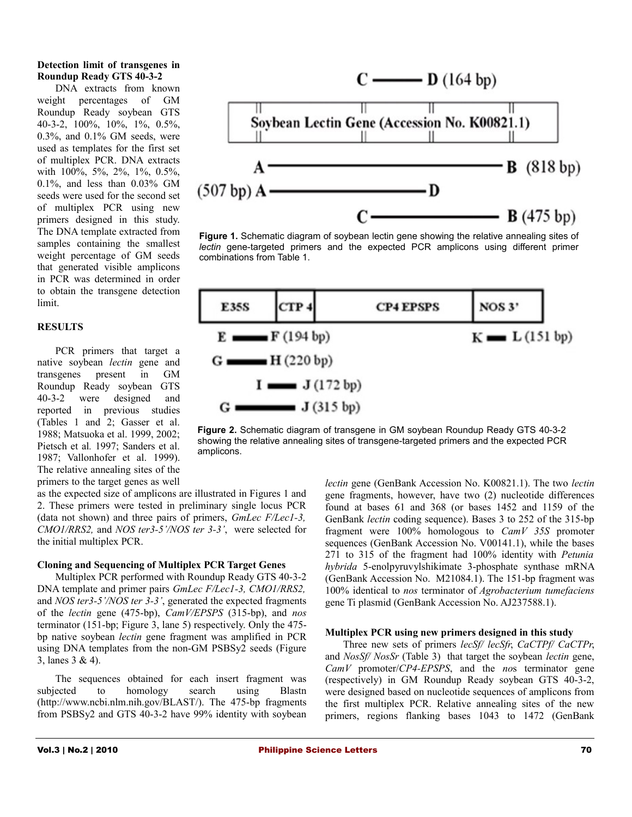## **Detection limit of transgenes in Roundup Ready GTS 40-3-2**

DNA extracts from known weight percentages of GM Roundup Ready soybean GTS 40-3-2, 100%, 10%, 1%, 0.5%, 0.3%, and 0.1% GM seeds, were used as templates for the first set of multiplex PCR. DNA extracts with 100%, 5%, 2%, 1%, 0.5%, 0.1%, and less than 0.03% GM seeds were used for the second set of multiplex PCR using new primers designed in this study. The DNA template extracted from samples containing the smallest weight percentage of GM seeds that generated visible amplicons in PCR was determined in order to obtain the transgene detection limit.

## **RESULTS**

PCR primers that target a native soybean *lectin* gene and transgenes present in GM Roundup Ready soybean GTS 40-3-2 were designed and reported in previous studies (Tables 1 and 2; Gasser et al. 1988; Matsuoka et al. 1999, 2002; Pietsch et al*.* 1997; Sanders et al. 1987; Vallonhofer et al. 1999). The relative annealing sites of the primers to the target genes as well



**Figure 1.** Schematic diagram of soybean lectin gene showing the relative annealing sites of *lectin* gene-targeted primers and the expected PCR amplicons using different primer combinations from Table 1.



**Figure 2.** Schematic diagram of transgene in GM soybean Roundup Ready GTS 40-3-2 showing the relative annealing sites of transgene-targeted primers and the expected PCR amplicons.

as the expected size of amplicons are illustrated in Figures 1 and 2. These primers were tested in preliminary single locus PCR (data not shown) and three pairs of primers, *GmLec F/Lec1-3, CMO1/RRS2,* and *NOS ter3-5'/NOS ter 3-3'*, were selected for the initial multiplex PCR.

## **Cloning and Sequencing of Multiplex PCR Target Genes**

Multiplex PCR performed with Roundup Ready GTS 40-3-2 DNA template and primer pairs *GmLec F/Lec1-3, CMO1/RRS2,* and *NOS ter3-5'/NOS ter 3-3'*, generated the expected fragments of the *lectin* gene (475-bp), *CamV/EPSPS* (315-bp), and *nos* terminator (151-bp; Figure 3, lane 5) respectively. Only the 475 bp native soybean *lectin* gene fragment was amplified in PCR using DNA templates from the non-GM PSBSy2 seeds (Figure 3, lanes 3 & 4).

The sequences obtained for each insert fragment was subjected to homology search using Blastn [\(http://www.ncbi.nlm.nih.gov/BLAST/\)](http://www.ncbi.nlm.nih.gov/BLAST/). The 475-bp fragments from PSBSy2 and GTS 40-3-2 have 99% identity with soybean *lectin* gene (GenBank Accession No. K00821.1). The two *lectin* gene fragments, however, have two (2) nucleotide differences found at bases 61 and 368 (or bases 1452 and 1159 of the GenBank *lectin* coding sequence). Bases 3 to 252 of the 315-bp fragment were 100% homologous to *CamV 35S* promoter sequences (GenBank Accession No. V00141.1), while the bases 271 to 315 of the fragment had 100% identity with *Petunia hybrida* 5-enolpyruvylshikimate 3-phosphate synthase mRNA (GenBank Accession No. M21084.1). The 151-bp fragment was 100% identical to *nos* terminator of *Agrobacterium tumefaciens* gene Ti plasmid (GenBank Accession No. AJ237588.1).

## **Multiplex PCR using new primers designed in this study**

Three new sets of primers *lecSf/ lecSfr*, *CaCTPf/ CaCTPr*, and *NosSf/ NosSr* (Table 3) that target the soybean *lectin* gene, *CamV* promoter/*CP4-EPSPS*, and the *no*s terminator gene (respectively) in GM Roundup Ready soybean GTS 40-3-2, were designed based on nucleotide sequences of amplicons from the first multiplex PCR. Relative annealing sites of the new primers, regions flanking bases 1043 to 1472 (GenBank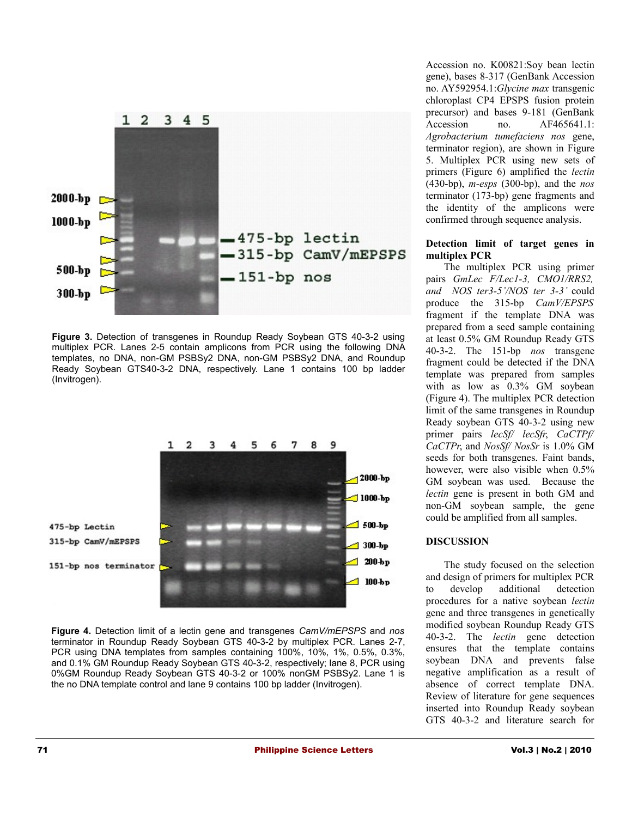

**Figure 3.** Detection of transgenes in Roundup Ready Soybean GTS 40-3-2 using multiplex PCR. Lanes 2-5 contain amplicons from PCR using the following DNA templates, no DNA, non-GM PSBSy2 DNA, non-GM PSBSy2 DNA, and Roundup Ready Soybean GTS40-3-2 DNA, respectively. Lane 1 contains 100 bp ladder (Invitrogen).



**Figure 4.** Detection limit of a lectin gene and transgenes *CamV/mEPSPS* and *nos* terminator in Roundup Ready Soybean GTS 40-3-2 by multiplex PCR. Lanes 2-7, PCR using DNA templates from samples containing 100%, 10%, 1%, 0.5%, 0.3%, and 0.1% GM Roundup Ready Soybean GTS 40-3-2, respectively; lane 8, PCR using 0%GM Roundup Ready Soybean GTS 40-3-2 or 100% nonGM PSBSy2. Lane 1 is the no DNA template control and lane 9 contains 100 bp ladder (Invitrogen).

Accession no. K00821:Soy bean lectin gene), bases 8-317 (GenBank Accession no. AY592954.1:*Glycine max* transgenic chloroplast CP4 EPSPS fusion protein precursor) and bases 9-181 (GenBank Accession no. AF465641.1: *Agrobacterium tumefaciens nos* gene, terminator region), are shown in Figure 5. Multiplex PCR using new sets of primers (Figure 6) amplified the *lectin* (430-bp), *m-esps* (300-bp), and the *nos* terminator (173-bp) gene fragments and the identity of the amplicons were confirmed through sequence analysis.

## **Detection limit of target genes in multiplex PCR**

The multiplex PCR using primer pairs *GmLec F/Lec1-3, CMO1/RRS2, and NOS ter3-5'/NOS ter 3-3'* could produce the 315-bp *CamV/EPSPS* fragment if the template DNA was prepared from a seed sample containing at least 0.5% GM Roundup Ready GTS 40-3-2. The 151-bp *nos* transgene fragment could be detected if the DNA template was prepared from samples with as low as 0.3% GM soybean (Figure 4). The multiplex PCR detection limit of the same transgenes in Roundup Ready soybean GTS 40-3-2 using new primer pairs *lecSf/ lecSfr*, *CaCTPf/ CaCTPr*, and *NosSf/ NosSr* is 1.0% GM seeds for both transgenes. Faint bands, however, were also visible when 0.5% GM soybean was used. Because the *lectin* gene is present in both GM and non-GM soybean sample, the gene could be amplified from all samples.

# **DISCUSSION**

The study focused on the selection and design of primers for multiplex PCR to develop additional detection procedures for a native soybean *lectin* gene and three transgenes in genetically modified soybean Roundup Ready GTS 40-3-2. The *lectin* gene detection ensures that the template contains soybean DNA and prevents false negative amplification as a result of absence of correct template DNA. Review of literature for gene sequences inserted into Roundup Ready soybean GTS 40-3-2 and literature search for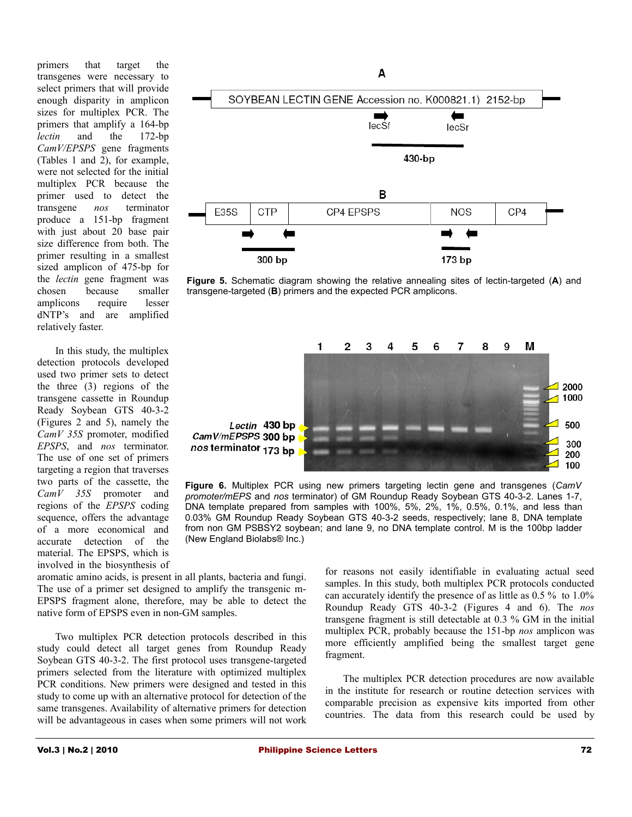primers that target the transgenes were necessary to select primers that will provide enough disparity in amplicon sizes for multiplex PCR. The primers that amplify a 164-bp *lectin* and the 172-bp *CamV/EPSPS* gene fragments (Tables 1 and 2), for example, were not selected for the initial multiplex PCR because the primer used to detect the transgene *nos* terminator produce a 151-bp fragment with just about 20 base pair size difference from both. The primer resulting in a smallest sized amplicon of 475-bp for the *lectin* gene fragment was chosen because smaller amplicons require lesser dNTP's and are amplified relatively faster.

In this study, the multiplex detection protocols developed used two primer sets to detect the three (3) regions of the transgene cassette in Roundup Ready Soybean GTS 40-3-2 (Figures 2 and 5), namely the *CamV 35S* promoter, modified *EPSPS*, and *nos* terminator. The use of one set of primers targeting a region that traverses two parts of the cassette, the *CamV 35S* promoter and regions of the *EPSPS* coding sequence, offers the advantage of a more economical and accurate detection of the material. The EPSPS, which is involved in the biosynthesis of



**Figure 5.** Schematic diagram showing the relative annealing sites of lectin-targeted (**A**) and transgene-targeted (**B**) primers and the expected PCR amplicons.



**Figure 6.** Multiplex PCR using new primers targeting lectin gene and transgenes (*CamV promoter/mEPS* and *nos* terminator) of GM Roundup Ready Soybean GTS 40-3-2. Lanes 1-7, DNA template prepared from samples with 100%, 5%, 2%, 1%, 0.5%, 0.1%, and less than 0.03% GM Roundup Ready Soybean GTS 40-3-2 seeds, respectively; lane 8, DNA template from non GM PSBSY2 soybean; and lane 9, no DNA template control. M is the 100bp ladder (New England Biolabs® Inc.)

aromatic amino acids, is present in all plants, bacteria and fungi. The use of a primer set designed to amplify the transgenic m-EPSPS fragment alone, therefore, may be able to detect the native form of EPSPS even in non-GM samples.

Two multiplex PCR detection protocols described in this study could detect all target genes from Roundup Ready Soybean GTS 40-3-2. The first protocol uses transgene-targeted primers selected from the literature with optimized multiplex PCR conditions. New primers were designed and tested in this study to come up with an alternative protocol for detection of the same transgenes. Availability of alternative primers for detection will be advantageous in cases when some primers will not work

for reasons not easily identifiable in evaluating actual seed samples. In this study, both multiplex PCR protocols conducted can accurately identify the presence of as little as 0.5 % to 1.0% Roundup Ready GTS 40-3-2 (Figures 4 and 6). The *nos* transgene fragment is still detectable at 0.3 % GM in the initial multiplex PCR, probably because the 151-bp *nos* amplicon was more efficiently amplified being the smallest target gene fragment.

The multiplex PCR detection procedures are now available in the institute for research or routine detection services with comparable precision as expensive kits imported from other countries. The data from this research could be used by